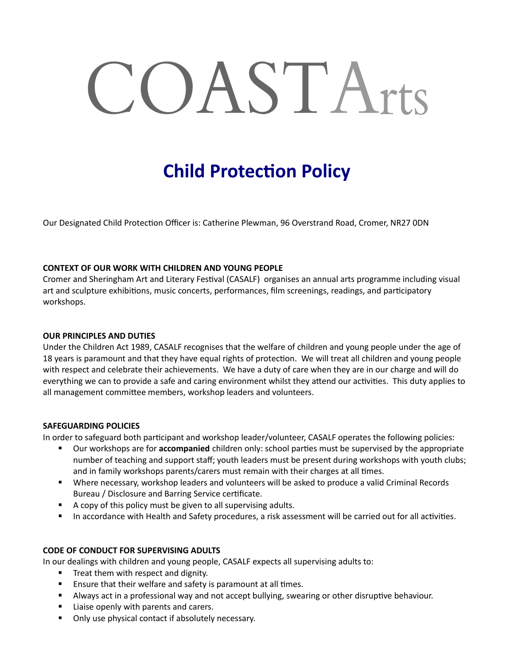# COASTArts

## **Child Protection Policy**

Our Designated Child Protection Officer is: Catherine Plewman, 96 Overstrand Road, Cromer, NR27 0DN

#### **CONTEXT OF OUR WORK WITH CHILDREN AND YOUNG PEOPLE**

Cromer and Sheringham Art and Literary Festival (CASALF) organises an annual arts programme including visual art and sculpture exhibitions, music concerts, performances, film screenings, readings, and participatory workshops.

#### **OUR PRINCIPLES AND DUTIES**

Under the Children Act 1989, CASALF recognises that the welfare of children and young people under the age of 18 years is paramount and that they have equal rights of protection. We will treat all children and young people with respect and celebrate their achievements. We have a duty of care when they are in our charge and will do everything we can to provide a safe and caring environment whilst they attend our activities. This duty applies to all management committee members, workshop leaders and volunteers.

#### **SAFEGUARDING POLICIES**

In order to safeguard both participant and workshop leader/volunteer, CASALF operates the following policies:

- Our workshops are for **accompanied** children only: school parties must be supervised by the appropriate number of teaching and support staff; youth leaders must be present during workshops with youth clubs; and in family workshops parents/carers must remain with their charges at all times.
- Where necessary, workshop leaders and volunteers will be asked to produce a valid Criminal Records Bureau / Disclosure and Barring Service certificate.
- A copy of this policy must be given to all supervising adults.
- In accordance with Health and Safety procedures, a risk assessment will be carried out for all activities.

### **CODE OF CONDUCT FOR SUPERVISING ADULTS**

In our dealings with children and young people, CASALF expects all supervising adults to:

- Treat them with respect and dignity.
- Ensure that their welfare and safety is paramount at all times.
- Always act in a professional way and not accept bullying, swearing or other disruptive behaviour.
- Liaise openly with parents and carers.
- Only use physical contact if absolutely necessary.